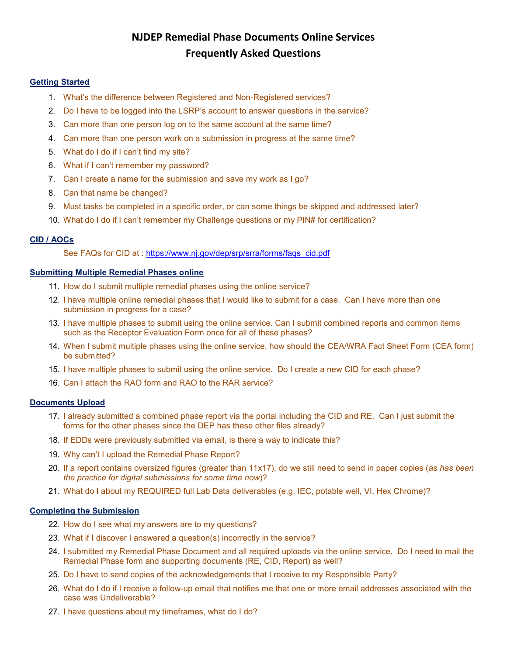# **NJDEP Remedial Phase Documents Online Services Frequently Asked Questions**

# **Getting Started**

- 1. [What's the difference between Registered and Non-Registered services?](#page-1-0)
- 2. [Do I have to be logged into the LSRP's account to answer questions in the service?](#page-1-1)
- 3. [Can more than one person log on to the same account at the same time?](#page-1-2)
- 4. [Can more than one person work on a submission in progress at the same time?](#page-1-3)
- 5. What do I do if I [can't find my site?](#page-1-4)
- 6. [What if I can't remember my password?](#page-1-5)
- 7. Can I [create a name for the submission and save my work as I](#page-1-6) go?
- 8. [Can that name be changed?](#page-1-7)
- 9. [Must tasks be completed in a specific order, or can some things be skipped and addressed later?](#page-1-8)
- 10. [What do I do if I can't remember my Challenge questions or my PIN#](#page-1-9) for certification?

# **CID / AOCs**

See FAQs for CID at : [https://www.nj.gov/dep/srp/srra/forms/faqs\\_cid.pdf](https://www.nj.gov/dep/srp/srra/forms/faqs_cid.pdf)

# **Submitting Multiple Remedial Phases online**

- 11. [How do I submit multiple remedial phases using the online service?](#page-1-10)
- 12. [I have multiple online remedial phases that I would like to submit for a case. Can I have more than one](#page-2-0)  [submission in progress](#page-2-0) for a case?
- 13. [I have multiple phases to submit using the online service. Can I submit combined reports and common items](#page-2-1)  [such as the Receptor Evaluation Form once for all of these phases?](#page-2-1)
- 14. [When I submit multiple phases using the online service, how should the CEA/WRA Fact Sheet Form \(CEA form\)](#page-2-2)  [be submitted?](#page-2-2)
- 15. [I have multiple phases to submit using the online service. Do I create a new CID for each phase?](#page-2-3)
- 16. [Can I attach the RAO form and RAO](#page-2-4) to the RAR service?

## **Documents Upload**

- 17. I already submitted a combined phase report via the portal [including the CID and RE. Can I just submit the](#page-2-5)  [forms for the other phases since the DEP has](#page-2-5) these other files already?
- 18. I[f EDDs were previously submitted via email, is there a way to indicate this?](#page-2-6)
- 19. [Why can't I upload the Remedial Phase Report?](#page-2-7)
- 20. [If a report contains oversized figures \(greater than 11x17\), do we still need to send in paper copies \(](#page-3-0)*as has been [the practice for digital submissions for some time now](#page-3-0)*)?
- 21. [What do I about my REQUIRED full Lab Data deliverables \(e.g. IEC, potable well, VI, Hex Chrome\)?](#page-3-1)

## **Completing the Submission**

- 22. [How do I see what my answers are to my questions?](#page-3-2)
- 23. [What if I discover I answered a question\(s\) incorrectly in the service?](#page-3-3)
- 24. I submitted my Remedial Phase Document and [all required uploads via the online service. Do I need to mail the](#page-3-4)  [Remedial Phase form and supporting documents \(RE, CID, Report\) as well?](#page-3-4)
- 25. [Do I have to send copies of the acknowledgements that I receive to my Responsible Party?](#page-4-0)
- 26. [What do I do if I receive a follow-up email that notifies me that one or more email addresses associated with the](#page-4-1)  [case was Undeliverable?](#page-4-1)
- 27. [I have questions about my timeframes, what do I do?](#page-4-2)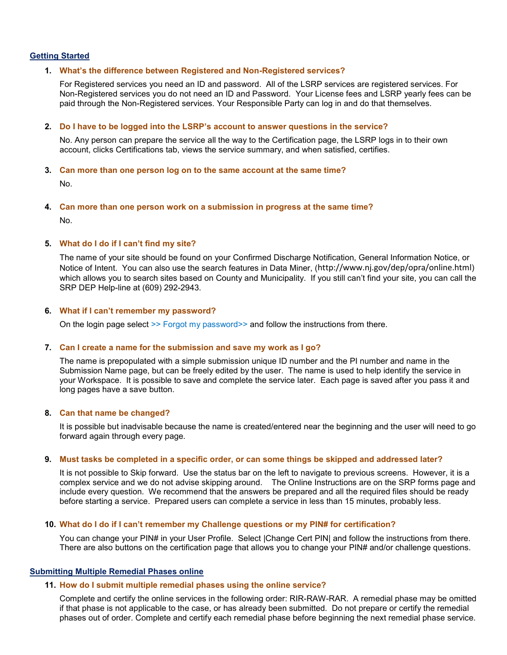## <span id="page-1-0"></span>**Getting Started**

#### **1. What's the difference between Registered and Non-Registered services?**

For Registered services you need an ID and password. All of the LSRP services are registered services. For Non-Registered services you do not need an ID and Password. Your License fees and LSRP yearly fees can be paid through the Non-Registered services. Your Responsible Party can log in and do that themselves.

#### <span id="page-1-1"></span>**2. Do I have to be logged into the LSRP's account to answer questions in the service?**

No. Any person can prepare the service all the way to the Certification page, the LSRP logs in to their own account, clicks Certifications tab, views the service summary, and when satisfied, certifies.

#### <span id="page-1-2"></span>**3. Can more than one person log on to the same account at the same time?**

No.

<span id="page-1-3"></span>**4. Can more than one person work on a submission in progress at the same time?** No.

#### <span id="page-1-4"></span>**5. What do I do if I can't find my site?**

The name of your site should be found on your Confirmed Discharge Notification, General Information Notice, or Notice of Intent. You can also use the search features in Data Miner, (<http://www.nj.gov/dep/opra/online.html>) which allows you to search sites based on County and Municipality. If you still can't find your site, you can call the SRP DEP Help-line at (609) 292-2943.

#### <span id="page-1-5"></span>**6. What if I can't remember my password?**

On the login page select >> Forgot my password>> and follow the instructions from there.

#### <span id="page-1-6"></span>**7. Can I create a name for the submission and save my work as I go?**

The name is prepopulated with a simple submission unique ID number and the PI number and name in the Submission Name page, but can be freely edited by the user. The name is used to help identify the service in your Workspace. It is possible to save and complete the service later. Each page is saved after you pass it and long pages have a save button.

#### <span id="page-1-7"></span>**8. Can that name be changed?**

It is possible but inadvisable because the name is created/entered near the beginning and the user will need to go forward again through every page.

#### <span id="page-1-8"></span>**9. Must tasks be completed in a specific order, or can some things be skipped and addressed later?**

It is not possible to Skip forward. Use the status bar on the left to navigate to previous screens. However, it is a complex service and we do not advise skipping around. The Online Instructions are on the SRP forms page and include every question. We recommend that the answers be prepared and all the required files should be ready before starting a service. Prepared users can complete a service in less than 15 minutes, probably less.

## <span id="page-1-9"></span>**10. What do I do if I can't remember my Challenge questions or my PIN# for certification?**

You can change your PIN# in your User Profile. Select |Change Cert PIN| and follow the instructions from there. There are also buttons on the certification page that allows you to change your PIN# and/or challenge questions.

#### <span id="page-1-10"></span>**Submitting Multiple Remedial Phases online**

#### **11. How do I submit multiple remedial phases using the online service?**

Complete and certify the online services in the following order: RIR-RAW-RAR. A remedial phase may be omitted if that phase is not applicable to the case, or has already been submitted. Do not prepare or certify the remedial phases out of order. Complete and certify each remedial phase before beginning the next remedial phase service.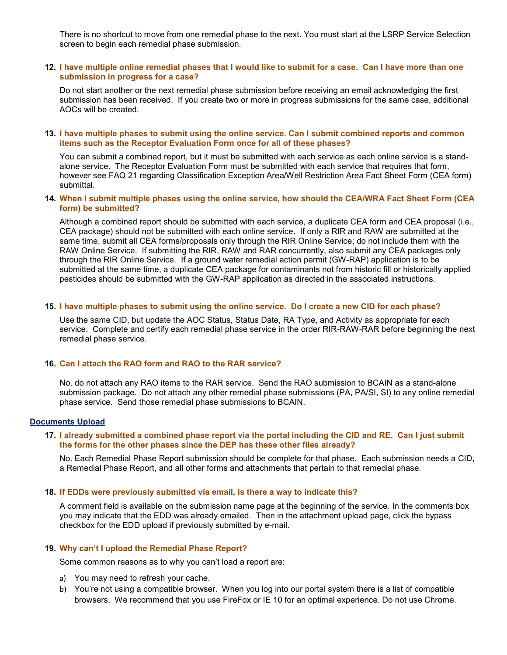There is no shortcut to move from one remedial phase to the next. You must start at the LSRP Service Selection screen to begin each remedial phase submission.

### <span id="page-2-0"></span>**12. I have multiple online remedial phases that I would like to submit for a case. Can I have more than one submission in progress for a case?**

Do not start another or the next remedial phase submission before receiving an email acknowledging the first submission has been received. If you create two or more in progress submissions for the same case, additional AOCs will be created.

#### <span id="page-2-1"></span>**13. I have multiple phases to submit using the online service. Can I submit combined reports and common items such as the Receptor Evaluation Form once for all of these phases?**

You can submit a combined report, but it must be submitted with each service as each online service is a standalone service. The Receptor Evaluation Form must be submitted with each service that requires that form, however see FAQ 21 regarding Classification Exception Area/Well Restriction Area Fact Sheet Form (CEA form) submittal.

### <span id="page-2-2"></span>**14. When I submit multiple phases using the online service, how should the CEA/WRA Fact Sheet Form (CEA form) be submitted?**

Although a combined report should be submitted with each service, a duplicate CEA form and CEA proposal (i.e., CEA package) should not be submitted with each online service. If only a RIR and RAW are submitted at the same time, submit all CEA forms/proposals only through the RIR Online Service; do not include them with the RAW Online Service. If submitting the RIR, RAW and RAR concurrently, also submit any CEA packages only through the RIR Online Service. If a ground water remedial action permit (GW-RAP) application is to be submitted at the same time, a duplicate CEA package for contaminants not from historic fill or historically applied pesticides should be submitted with the GW-RAP application as directed in the associated instructions.

#### <span id="page-2-3"></span>**15. I have multiple phases to submit using the online service. Do I create a new CID for each phase?**

Use the same CID, but update the AOC Status, Status Date, RA Type, and Activity as appropriate for each service. Complete and certify each remedial phase service in the order RIR-RAW-RAR before beginning the next remedial phase service.

# <span id="page-2-4"></span>**16. Can I attach the RAO form and RAO to the RAR service?**

No, do not attach any RAO items to the RAR service. Send the RAO submission to BCAIN as a stand-alone submission package. Do not attach any other remedial phase submissions (PA, PA/SI, SI) to any online remedial phase service. Send those remedial phase submissions to BCAIN.

#### <span id="page-2-5"></span>**Documents Upload**

## **17. I already submitted a combined phase report via the portal including the CID and RE. Can I just submit the forms for the other phases since the DEP has these other files already?**

No. Each Remedial Phase Report submission should be complete for that phase. Each submission needs a CID, a Remedial Phase Report, and all other forms and attachments that pertain to that remedial phase.

#### <span id="page-2-6"></span>**18. If EDDs were previously submitted via email, is there a way to indicate this?**

A comment field is available on the submission name page at the beginning of the service. In the comments box you may indicate that the EDD was already emailed. Then in the attachment upload page, click the bypass checkbox for the EDD upload if previously submitted by e-mail.

#### <span id="page-2-7"></span>**19. Why can't I upload the Remedial Phase Report?**

Some common reasons as to why you can't load a report are:

- a) You may need to refresh your cache.
- b) You're not using a compatible browser. When you log into our portal system there is a list of compatible browsers. We recommend that you use FireFox or IE 10 for an optimal experience. Do not use Chrome.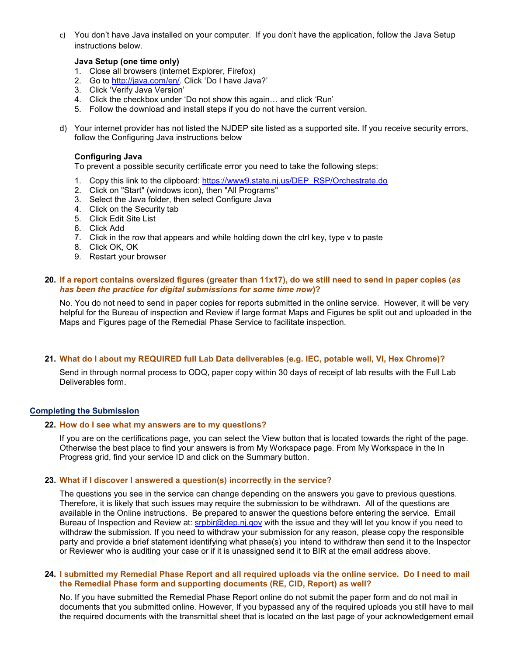c) You don't have Java installed on your computer. If you don't have the application, follow the Java Setup instructions below.

## **Java Setup (one time only)**

- 1. Close all browsers (internet Explorer, Firefox)
- 2. Go to [http://java.com/en/.](http://java.com/en/) Click 'Do I have Java?'
- 3. Click 'Verify Java Version'
- 4. Click the checkbox under 'Do not show this again… and click 'Run'
- 5. Follow the download and install steps if you do not have the current version.
- d) Your internet provider has not listed the NJDEP site listed as a supported site. If you receive security errors, follow the Configuring Java instructions below

# **Configuring Java**

To prevent a possible security certificate error you need to take the following steps:

- 1. Copy this link to the clipboard: [https://www9.state.nj.us/DEP\\_RSP/Orchestrate.do](https://www9.state.nj.us/DEP_RSP/Orchestrate.do)
- 2. Click on "Start" (windows icon), then "All Programs"
- 3. Select the Java folder, then select Configure Java
- 4. Click on the Security tab
- 5. Click Edit Site List
- 6. Click Add
- 7. Click in the row that appears and while holding down the ctrl key, type v to paste
- 8. Click OK, OK
- 9. Restart your browser

## <span id="page-3-0"></span>**20. If a report contains oversized figures (greater than 11x17), do we still need to send in paper copies (***as has been the practice for digital submissions for some time now***)?**

No. You do not need to send in paper copies for reports submitted in the online service. However, it will be very helpful for the Bureau of inspection and Review if large format Maps and Figures be split out and uploaded in the Maps and Figures page of the Remedial Phase Service to facilitate inspection.

# <span id="page-3-1"></span>**21. What do I about my REQUIRED full Lab Data deliverables (e.g. IEC, potable well, VI, Hex Chrome)?**

Send in through normal process to ODQ, paper copy within 30 days of receipt of lab results with the Full Lab Deliverables form.

## <span id="page-3-2"></span>**Completing the Submission**

# **22. How do I see what my answers are to my questions?**

If you are on the certifications page, you can select the View button that is located towards the right of the page. Otherwise the best place to find your answers is from My Workspace page. From My Workspace in the In Progress grid, find your service ID and click on the Summary button.

## <span id="page-3-3"></span>**23. What if I discover I answered a question(s) incorrectly in the service?**

The questions you see in the service can change depending on the answers you gave to previous questions. Therefore, it is likely that such issues may require the submission to be withdrawn. All of the questions are available in the Online instructions. Be prepared to answer the questions before entering the service. Email Bureau of Inspection and Review at: [srpbir@dep.nj.gov](mailto:srpbir@dep.nj.gov) with the issue and they will let you know if you need to withdraw the submission. If you need to withdraw your submission for any reason, please copy the responsible party and provide a brief statement identifying what phase(s) you intend to withdraw then send it to the Inspector or Reviewer who is auditing your case or if it is unassigned send it to BIR at the email address above.

#### <span id="page-3-4"></span>**24. I submitted my Remedial Phase Report and all required uploads via the online service. Do I need to mail the Remedial Phase form and supporting documents (RE, CID, Report) as well?**

No. If you have submitted the Remedial Phase Report online do not submit the paper form and do not mail in documents that you submitted online. However, If you bypassed any of the required uploads you still have to mail the required documents with the transmittal sheet that is located on the last page of your acknowledgement email